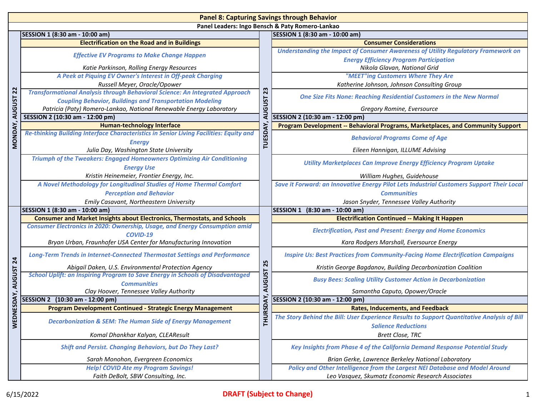| <b>Panel 8: Capturing Savings through Behavior</b> |                                                                                                                                        |                                       |                                                                                                                                     |  |  |
|----------------------------------------------------|----------------------------------------------------------------------------------------------------------------------------------------|---------------------------------------|-------------------------------------------------------------------------------------------------------------------------------------|--|--|
|                                                    | Panel Leaders: Ingo Bensch & Paty Romero-Lankao                                                                                        |                                       |                                                                                                                                     |  |  |
|                                                    | SESSION 1 (8:30 am - 10:00 am)                                                                                                         |                                       | SESSION 1 (8:30 am - 10:00 am)                                                                                                      |  |  |
|                                                    | <b>Electrification on the Road and in Buildings</b>                                                                                    | 23<br><b>AUGUST</b><br><b>TUESDAY</b> | <b>Consumer Considerations</b>                                                                                                      |  |  |
|                                                    | <b>Effective EV Programs to Make Change Happen</b>                                                                                     |                                       | Understanding the Impact of Consumer Awareness of Utility Regulatory Framework on<br><b>Energy Efficiency Program Participation</b> |  |  |
|                                                    | Katie Parkinson, Rolling Energy Resources                                                                                              |                                       | Nikola Glavan, National Grid                                                                                                        |  |  |
|                                                    | A Peek at Piquing EV Owner's Interest in Off-peak Charging                                                                             |                                       | "MEET"ing Customers Where They Are                                                                                                  |  |  |
|                                                    | Russell Meyer, Oracle/Opower                                                                                                           |                                       | Katherine Johnson, Johnson Consulting Group                                                                                         |  |  |
| $\overline{2}$                                     | <b>Transformational Analysis through Behavioral Science: An Integrated Approach</b>                                                    |                                       | <b>One Size Fits None: Reaching Residential Customers in the New Normal</b>                                                         |  |  |
| <b>AUGUST</b>                                      | <b>Coupling Behavior, Buildings and Transportation Modeling</b><br>Patricia (Paty) Romero-Lankao, National Renewable Energy Laboratory |                                       | Gregory Romine, Eversource                                                                                                          |  |  |
|                                                    | SESSION 2 (10:30 am - 12:00 pm)                                                                                                        |                                       | SESSION 2 (10:30 am - 12:00 pm)                                                                                                     |  |  |
|                                                    | <b>Human-technology Interface</b>                                                                                                      |                                       | Program Development -- Behavioral Programs, Marketplaces, and Community Support                                                     |  |  |
| MONDAY,                                            | Re-thinking Building Interface Characteristics in Senior Living Facilities: Equity and                                                 |                                       | <b>Behavioral Programs Come of Age</b>                                                                                              |  |  |
|                                                    | <b>Energy</b><br>Julia Day, Washington State University                                                                                |                                       | Eileen Hannigan, ILLUME Advising                                                                                                    |  |  |
|                                                    | <b>Triumph of the Tweakers: Engaged Homeowners Optimizing Air Conditioning</b>                                                         |                                       | <b>Utility Marketplaces Can Improve Energy Efficiency Program Uptake</b>                                                            |  |  |
|                                                    | <b>Energy Use</b><br>Kristin Heinemeier, Frontier Energy, Inc.                                                                         |                                       | William Hughes, Guidehouse                                                                                                          |  |  |
|                                                    | A Novel Methodology for Longitudinal Studies of Home Thermal Comfort                                                                   |                                       | Save it Forward: an Innovative Energy Pilot Lets Industrial Customers Support Their Local                                           |  |  |
|                                                    | <b>Perception and Behavior</b>                                                                                                         |                                       | <b>Communities</b>                                                                                                                  |  |  |
|                                                    | Emily Casavant, Northeastern University                                                                                                |                                       | Jason Snyder, Tennessee Valley Authority                                                                                            |  |  |
|                                                    | SESSION 1 (8:30 am - 10:00 am)                                                                                                         |                                       | SESSION 1 (8:30 am - 10:00 am)                                                                                                      |  |  |
|                                                    | <b>Consumer and Market Insights about Electronics, Thermostats, and Schools</b>                                                        | 25<br><b>AUGUST</b>                   | <b>Electrification Continued -- Making It Happen</b>                                                                                |  |  |
|                                                    | <b>Consumer Electronics in 2020: Ownership, Usage, and Energy Consumption amid</b>                                                     |                                       |                                                                                                                                     |  |  |
|                                                    | COVID-19                                                                                                                               |                                       | <b>Electrification, Past and Present: Energy and Home Economics</b>                                                                 |  |  |
|                                                    | Bryan Urban, Fraunhofer USA Center for Manufacturing Innovation                                                                        |                                       | Kara Rodgers Marshall, Eversource Energy                                                                                            |  |  |
| 24                                                 | <b>Long-Term Trends in Internet-Connected Thermostat Settings and Performance</b>                                                      |                                       | <b>Inspire Us: Best Practices from Community-Facing Home Electrification Campaigns</b>                                              |  |  |
|                                                    | Abigail Daken, U.S. Environmental Protection Agency                                                                                    |                                       | Kristin George Bagdanov, Building Decarbonization Coalition                                                                         |  |  |
| <b>AUGUST</b>                                      | <b>School Uplift: an Inspiring Program to Save Energy in Schools of Disadvantaged</b><br><b>Communities</b>                            |                                       | <b>Busy Bees: Scaling Utility Customer Action in Decarbonization</b>                                                                |  |  |
|                                                    | Clay Hoover, Tennessee Valley Authority                                                                                                |                                       | Samantha Caputo, Opower/Oracle                                                                                                      |  |  |
| NESDAY,                                            | SESSION 2 (10:30 am - 12:00 pm)                                                                                                        |                                       | SESSION 2 (10:30 am - 12:00 pm)                                                                                                     |  |  |
|                                                    | <b>Program Development Continued - Strategic Energy Management</b>                                                                     | JRSDAY                                | <b>Rates, Inducements, and Feedback</b>                                                                                             |  |  |
| WED                                                | <b>Decarbonization &amp; SEM: The Human Side of Energy Management</b>                                                                  | 복                                     | The Story Behind the Bill: User Experience Results to Support Quantitative Analysis of Bill                                         |  |  |
|                                                    |                                                                                                                                        |                                       | <b>Salience Reductions</b>                                                                                                          |  |  |
|                                                    | Komal Dhankhar Kalyan, CLEAResult                                                                                                      |                                       | <b>Brett Close, TRC</b>                                                                                                             |  |  |
|                                                    | <b>Shift and Persist. Changing Behaviors, but Do They Last?</b>                                                                        |                                       | Key Insights from Phase 4 of the California Demand Response Potential Study                                                         |  |  |
|                                                    | Sarah Monohon, Evergreen Economics                                                                                                     |                                       | Brian Gerke, Lawrence Berkeley National Laboratory                                                                                  |  |  |
|                                                    | <b>Help! COVID Ate my Program Savings!</b>                                                                                             |                                       | Policy and Other Intelligence from the Largest NEI Database and Model Around                                                        |  |  |
|                                                    | Faith DeBolt, SBW Consulting, Inc.                                                                                                     |                                       | Leo Vasquez, Skumatz Economic Research Associates                                                                                   |  |  |